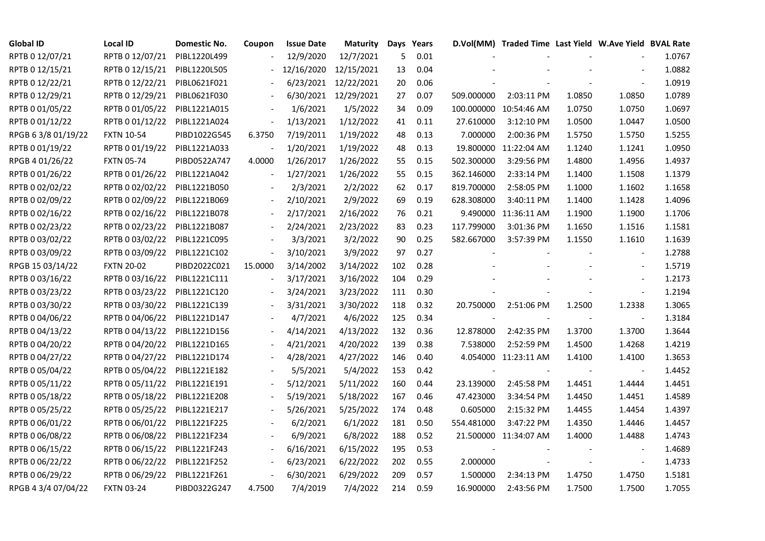| <b>Global ID</b>    | <b>Local ID</b>   | Domestic No. | Coupon        | <b>Issue Date</b> | Maturity   |     | Days Years |            | D.Vol(MM) Traded Time Last Yield W.Ave Yield BVAL Rate |        |                          |        |
|---------------------|-------------------|--------------|---------------|-------------------|------------|-----|------------|------------|--------------------------------------------------------|--------|--------------------------|--------|
| RPTB 0 12/07/21     | RPTB 0 12/07/21   | PIBL1220L499 |               | 12/9/2020         | 12/7/2021  | 5   | 0.01       |            |                                                        |        |                          | 1.0767 |
| RPTB 0 12/15/21     | RPTB 0 12/15/21   | PIBL1220L505 |               | 12/16/2020        | 12/15/2021 | 13  | 0.04       |            |                                                        |        |                          | 1.0882 |
| RPTB 0 12/22/21     | RPTB 0 12/22/21   | PIBL0621F021 |               | 6/23/2021         | 12/22/2021 | 20  | 0.06       |            |                                                        |        | $\overline{\phantom{a}}$ | 1.0919 |
| RPTB 0 12/29/21     | RPTB 0 12/29/21   | PIBL0621F030 |               | 6/30/2021         | 12/29/2021 | 27  | 0.07       | 509.000000 | 2:03:11 PM                                             | 1.0850 | 1.0850                   | 1.0789 |
| RPTB 0 01/05/22     | RPTB 0 01/05/22   | PIBL1221A015 |               | 1/6/2021          | 1/5/2022   | 34  | 0.09       |            | 100.000000 10:54:46 AM                                 | 1.0750 | 1.0750                   | 1.0697 |
| RPTB 0 01/12/22     | RPTB 0 01/12/22   | PIBL1221A024 | $\frac{1}{2}$ | 1/13/2021         | 1/12/2022  | 41  | 0.11       | 27.610000  | 3:12:10 PM                                             | 1.0500 | 1.0447                   | 1.0500 |
| RPGB 63/8 01/19/22  | <b>FXTN 10-54</b> | PIBD1022G545 | 6.3750        | 7/19/2011         | 1/19/2022  | 48  | 0.13       | 7.000000   | 2:00:36 PM                                             | 1.5750 | 1.5750                   | 1.5255 |
| RPTB 0 01/19/22     | RPTB 0 01/19/22   | PIBL1221A033 |               | 1/20/2021         | 1/19/2022  | 48  | 0.13       |            | 19.800000 11:22:04 AM                                  | 1.1240 | 1.1241                   | 1.0950 |
| RPGB 4 01/26/22     | <b>FXTN 05-74</b> | PIBD0522A747 | 4.0000        | 1/26/2017         | 1/26/2022  | 55  | 0.15       | 502.300000 | 3:29:56 PM                                             | 1.4800 | 1.4956                   | 1.4937 |
| RPTB 0 01/26/22     | RPTB 0 01/26/22   | PIBL1221A042 |               | 1/27/2021         | 1/26/2022  | 55  | 0.15       | 362.146000 | 2:33:14 PM                                             | 1.1400 | 1.1508                   | 1.1379 |
| RPTB 0 02/02/22     | RPTB 0 02/02/22   | PIBL1221B050 |               | 2/3/2021          | 2/2/2022   | 62  | 0.17       | 819.700000 | 2:58:05 PM                                             | 1.1000 | 1.1602                   | 1.1658 |
| RPTB 0 02/09/22     | RPTB 0 02/09/22   | PIBL1221B069 |               | 2/10/2021         | 2/9/2022   | 69  | 0.19       | 628.308000 | 3:40:11 PM                                             | 1.1400 | 1.1428                   | 1.4096 |
| RPTB 0 02/16/22     | RPTB 0 02/16/22   | PIBL1221B078 |               | 2/17/2021         | 2/16/2022  | 76  | 0.21       |            | 9.490000 11:36:11 AM                                   | 1.1900 | 1.1900                   | 1.1706 |
| RPTB 0 02/23/22     | RPTB 0 02/23/22   | PIBL1221B087 |               | 2/24/2021         | 2/23/2022  | 83  | 0.23       | 117.799000 | 3:01:36 PM                                             | 1.1650 | 1.1516                   | 1.1581 |
| RPTB 0 03/02/22     | RPTB 0 03/02/22   | PIBL1221C095 |               | 3/3/2021          | 3/2/2022   | 90  | 0.25       | 582.667000 | 3:57:39 PM                                             | 1.1550 | 1.1610                   | 1.1639 |
| RPTB 0 03/09/22     | RPTB 0 03/09/22   | PIBL1221C102 |               | 3/10/2021         | 3/9/2022   | 97  | 0.27       |            |                                                        |        |                          | 1.2788 |
| RPGB 15 03/14/22    | <b>FXTN 20-02</b> | PIBD2022C021 | 15.0000       | 3/14/2002         | 3/14/2022  | 102 | 0.28       |            |                                                        |        | $\overline{\phantom{a}}$ | 1.5719 |
| RPTB 0 03/16/22     | RPTB 0 03/16/22   | PIBL1221C111 |               | 3/17/2021         | 3/16/2022  | 104 | 0.29       |            |                                                        |        | $\overline{\phantom{a}}$ | 1.2173 |
| RPTB 0 03/23/22     | RPTB 0 03/23/22   | PIBL1221C120 |               | 3/24/2021         | 3/23/2022  | 111 | 0.30       |            |                                                        |        | $\sim$                   | 1.2194 |
| RPTB 0 03/30/22     | RPTB 0 03/30/22   | PIBL1221C139 |               | 3/31/2021         | 3/30/2022  | 118 | 0.32       | 20.750000  | 2:51:06 PM                                             | 1.2500 | 1.2338                   | 1.3065 |
| RPTB 0 04/06/22     | RPTB 0 04/06/22   | PIBL1221D147 |               | 4/7/2021          | 4/6/2022   | 125 | 0.34       | $\sim$     |                                                        | $\sim$ | $\blacksquare$           | 1.3184 |
| RPTB 0 04/13/22     | RPTB 0 04/13/22   | PIBL1221D156 |               | 4/14/2021         | 4/13/2022  | 132 | 0.36       | 12.878000  | 2:42:35 PM                                             | 1.3700 | 1.3700                   | 1.3644 |
| RPTB 0 04/20/22     | RPTB 0 04/20/22   | PIBL1221D165 |               | 4/21/2021         | 4/20/2022  | 139 | 0.38       | 7.538000   | 2:52:59 PM                                             | 1.4500 | 1.4268                   | 1.4219 |
| RPTB 0 04/27/22     | RPTB 0 04/27/22   | PIBL1221D174 |               | 4/28/2021         | 4/27/2022  | 146 | 0.40       |            | 4.054000 11:23:11 AM                                   | 1.4100 | 1.4100                   | 1.3653 |
| RPTB 0 05/04/22     | RPTB 0 05/04/22   | PIBL1221E182 |               | 5/5/2021          | 5/4/2022   | 153 | 0.42       |            |                                                        |        | $\overline{\phantom{a}}$ | 1.4452 |
| RPTB 0 05/11/22     | RPTB 0 05/11/22   | PIBL1221E191 |               | 5/12/2021         | 5/11/2022  | 160 | 0.44       | 23.139000  | 2:45:58 PM                                             | 1.4451 | 1.4444                   | 1.4451 |
| RPTB 0 05/18/22     | RPTB 0 05/18/22   | PIBL1221E208 |               | 5/19/2021         | 5/18/2022  | 167 | 0.46       | 47.423000  | 3:34:54 PM                                             | 1.4450 | 1.4451                   | 1.4589 |
| RPTB 0 05/25/22     | RPTB 0 05/25/22   | PIBL1221E217 |               | 5/26/2021         | 5/25/2022  | 174 | 0.48       | 0.605000   | 2:15:32 PM                                             | 1.4455 | 1.4454                   | 1.4397 |
| RPTB 0 06/01/22     | RPTB 0 06/01/22   | PIBL1221F225 |               | 6/2/2021          | 6/1/2022   | 181 | 0.50       | 554.481000 | 3:47:22 PM                                             | 1.4350 | 1.4446                   | 1.4457 |
| RPTB 0 06/08/22     | RPTB 0 06/08/22   | PIBL1221F234 |               | 6/9/2021          | 6/8/2022   | 188 | 0.52       |            | 21.500000 11:34:07 AM                                  | 1.4000 | 1.4488                   | 1.4743 |
| RPTB 0 06/15/22     | RPTB 0 06/15/22   | PIBL1221F243 |               | 6/16/2021         | 6/15/2022  | 195 | 0.53       |            |                                                        |        |                          | 1.4689 |
| RPTB 0 06/22/22     | RPTB 0 06/22/22   | PIBL1221F252 |               | 6/23/2021         | 6/22/2022  | 202 | 0.55       | 2.000000   |                                                        |        | $\blacksquare$           | 1.4733 |
| RPTB 0 06/29/22     | RPTB 0 06/29/22   | PIBL1221F261 |               | 6/30/2021         | 6/29/2022  | 209 | 0.57       | 1.500000   | 2:34:13 PM                                             | 1.4750 | 1.4750                   | 1.5181 |
| RPGB 4 3/4 07/04/22 | <b>FXTN 03-24</b> | PIBD0322G247 | 4.7500        | 7/4/2019          | 7/4/2022   | 214 | 0.59       | 16.900000  | 2:43:56 PM                                             | 1.7500 | 1.7500                   | 1.7055 |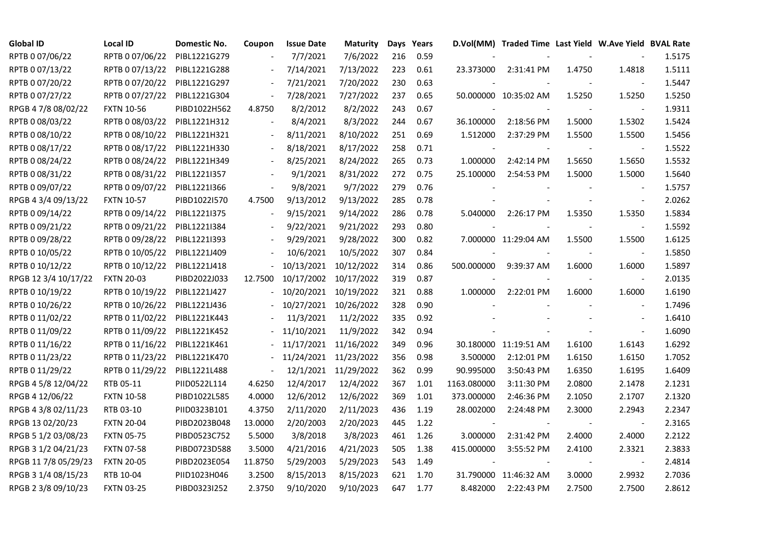| <b>Global ID</b>     | Local ID          | Domestic No. | Coupon                   | <b>Issue Date</b> | <b>Maturity</b> |     | Days Years |             | D.Vol(MM) Traded Time Last Yield W.Ave Yield BVAL Rate |        |                          |        |
|----------------------|-------------------|--------------|--------------------------|-------------------|-----------------|-----|------------|-------------|--------------------------------------------------------|--------|--------------------------|--------|
| RPTB 0 07/06/22      | RPTB 0 07/06/22   | PIBL1221G279 |                          | 7/7/2021          | 7/6/2022        | 216 | 0.59       |             |                                                        |        |                          | 1.5175 |
| RPTB 0 07/13/22      | RPTB 0 07/13/22   | PIBL1221G288 |                          | 7/14/2021         | 7/13/2022       | 223 | 0.61       | 23.373000   | 2:31:41 PM                                             | 1.4750 | 1.4818                   | 1.5111 |
| RPTB 0 07/20/22      | RPTB 0 07/20/22   | PIBL1221G297 |                          | 7/21/2021         | 7/20/2022       | 230 | 0.63       |             |                                                        |        | $\blacksquare$           | 1.5447 |
| RPTB 0 07/27/22      | RPTB 0 07/27/22   | PIBL1221G304 |                          | 7/28/2021         | 7/27/2022       | 237 | 0.65       |             | 50.000000 10:35:02 AM                                  | 1.5250 | 1.5250                   | 1.5250 |
| RPGB 4 7/8 08/02/22  | <b>FXTN 10-56</b> | PIBD1022H562 | 4.8750                   | 8/2/2012          | 8/2/2022        | 243 | 0.67       |             |                                                        |        | $\sim$                   | 1.9311 |
| RPTB 0 08/03/22      | RPTB 0 08/03/22   | PIBL1221H312 |                          | 8/4/2021          | 8/3/2022        | 244 | 0.67       | 36.100000   | 2:18:56 PM                                             | 1.5000 | 1.5302                   | 1.5424 |
| RPTB 0 08/10/22      | RPTB 0 08/10/22   | PIBL1221H321 |                          | 8/11/2021         | 8/10/2022       | 251 | 0.69       | 1.512000    | 2:37:29 PM                                             | 1.5500 | 1.5500                   | 1.5456 |
| RPTB 0 08/17/22      | RPTB 0 08/17/22   | PIBL1221H330 |                          | 8/18/2021         | 8/17/2022       | 258 | 0.71       |             |                                                        |        | $\overline{\phantom{a}}$ | 1.5522 |
| RPTB 0 08/24/22      | RPTB 0 08/24/22   | PIBL1221H349 |                          | 8/25/2021         | 8/24/2022       | 265 | 0.73       | 1.000000    | 2:42:14 PM                                             | 1.5650 | 1.5650                   | 1.5532 |
| RPTB 0 08/31/22      | RPTB 0 08/31/22   | PIBL1221I357 |                          | 9/1/2021          | 8/31/2022       | 272 | 0.75       | 25.100000   | 2:54:53 PM                                             | 1.5000 | 1.5000                   | 1.5640 |
| RPTB 0 09/07/22      | RPTB 0 09/07/22   | PIBL12211366 | $\overline{\phantom{a}}$ | 9/8/2021          | 9/7/2022        | 279 | 0.76       |             |                                                        |        | $\blacksquare$           | 1.5757 |
| RPGB 4 3/4 09/13/22  | <b>FXTN 10-57</b> | PIBD1022I570 | 4.7500                   | 9/13/2012         | 9/13/2022       | 285 | 0.78       |             |                                                        |        | $\blacksquare$           | 2.0262 |
| RPTB 0 09/14/22      | RPTB 0 09/14/22   | PIBL1221I375 |                          | 9/15/2021         | 9/14/2022       | 286 | 0.78       | 5.040000    | 2:26:17 PM                                             | 1.5350 | 1.5350                   | 1.5834 |
| RPTB 0 09/21/22      | RPTB 0 09/21/22   | PIBL1221I384 |                          | 9/22/2021         | 9/21/2022       | 293 | 0.80       |             |                                                        |        | $\blacksquare$           | 1.5592 |
| RPTB 0 09/28/22      | RPTB 0 09/28/22   | PIBL1221I393 |                          | 9/29/2021         | 9/28/2022       | 300 | 0.82       |             | 7.000000 11:29:04 AM                                   | 1.5500 | 1.5500                   | 1.6125 |
| RPTB 0 10/05/22      | RPTB 0 10/05/22   | PIBL1221J409 |                          | 10/6/2021         | 10/5/2022       | 307 | 0.84       |             |                                                        |        |                          | 1.5850 |
| RPTB 0 10/12/22      | RPTB 0 10/12/22   | PIBL1221J418 |                          | 10/13/2021        | 10/12/2022      | 314 | 0.86       | 500.000000  | 9:39:37 AM                                             | 1.6000 | 1.6000                   | 1.5897 |
| RPGB 12 3/4 10/17/22 | <b>FXTN 20-03</b> | PIBD2022J033 | 12.7500                  | 10/17/2002        | 10/17/2022      | 319 | 0.87       |             |                                                        |        | $\blacksquare$           | 2.0135 |
| RPTB 0 10/19/22      | RPTB 0 10/19/22   | PIBL1221J427 |                          | 10/20/2021        | 10/19/2022      | 321 | 0.88       | 1.000000    | 2:22:01 PM                                             | 1.6000 | 1.6000                   | 1.6190 |
| RPTB 0 10/26/22      | RPTB 0 10/26/22   | PIBL1221J436 |                          | 10/27/2021        | 10/26/2022      | 328 | 0.90       |             |                                                        |        | $\sim$                   | 1.7496 |
| RPTB 0 11/02/22      | RPTB 0 11/02/22   | PIBL1221K443 |                          | 11/3/2021         | 11/2/2022       | 335 | 0.92       |             |                                                        |        | $\blacksquare$           | 1.6410 |
| RPTB 0 11/09/22      | RPTB 0 11/09/22   | PIBL1221K452 |                          | 11/10/2021        | 11/9/2022       | 342 | 0.94       |             |                                                        |        | $\sim$                   | 1.6090 |
| RPTB 0 11/16/22      | RPTB 0 11/16/22   | PIBL1221K461 |                          | 11/17/2021        | 11/16/2022      | 349 | 0.96       |             | 30.180000 11:19:51 AM                                  | 1.6100 | 1.6143                   | 1.6292 |
| RPTB 0 11/23/22      | RPTB 0 11/23/22   | PIBL1221K470 |                          | 11/24/2021        | 11/23/2022      | 356 | 0.98       | 3.500000    | 2:12:01 PM                                             | 1.6150 | 1.6150                   | 1.7052 |
| RPTB 0 11/29/22      | RPTB 0 11/29/22   | PIBL1221L488 | $\blacksquare$           | 12/1/2021         | 11/29/2022      | 362 | 0.99       | 90.995000   | 3:50:43 PM                                             | 1.6350 | 1.6195                   | 1.6409 |
| RPGB 4 5/8 12/04/22  | RTB 05-11         | PIID0522L114 | 4.6250                   | 12/4/2017         | 12/4/2022       | 367 | 1.01       | 1163.080000 | 3:11:30 PM                                             | 2.0800 | 2.1478                   | 2.1231 |
| RPGB 4 12/06/22      | <b>FXTN 10-58</b> | PIBD1022L585 | 4.0000                   | 12/6/2012         | 12/6/2022       | 369 | 1.01       | 373.000000  | 2:46:36 PM                                             | 2.1050 | 2.1707                   | 2.1320 |
| RPGB 4 3/8 02/11/23  | RTB 03-10         | PIID0323B101 | 4.3750                   | 2/11/2020         | 2/11/2023       | 436 | 1.19       | 28.002000   | 2:24:48 PM                                             | 2.3000 | 2.2943                   | 2.2347 |
| RPGB 13 02/20/23     | <b>FXTN 20-04</b> | PIBD2023B048 | 13.0000                  | 2/20/2003         | 2/20/2023       | 445 | 1.22       |             |                                                        |        | $\blacksquare$           | 2.3165 |
| RPGB 5 1/2 03/08/23  | <b>FXTN 05-75</b> | PIBD0523C752 | 5.5000                   | 3/8/2018          | 3/8/2023        | 461 | 1.26       | 3.000000    | 2:31:42 PM                                             | 2.4000 | 2.4000                   | 2.2122 |
| RPGB 3 1/2 04/21/23  | <b>FXTN 07-58</b> | PIBD0723D588 | 3.5000                   | 4/21/2016         | 4/21/2023       | 505 | 1.38       | 415.000000  | 3:55:52 PM                                             | 2.4100 | 2.3321                   | 2.3833 |
| RPGB 11 7/8 05/29/23 | <b>FXTN 20-05</b> | PIBD2023E054 | 11.8750                  | 5/29/2003         | 5/29/2023       | 543 | 1.49       |             |                                                        |        | $\blacksquare$           | 2.4814 |
| RPGB 3 1/4 08/15/23  | RTB 10-04         | PIID1023H046 | 3.2500                   | 8/15/2013         | 8/15/2023       | 621 | 1.70       |             | 31.790000 11:46:32 AM                                  | 3.0000 | 2.9932                   | 2.7036 |
| RPGB 2 3/8 09/10/23  | <b>FXTN 03-25</b> | PIBD0323I252 | 2.3750                   | 9/10/2020         | 9/10/2023       | 647 | 1.77       | 8.482000    | 2:22:43 PM                                             | 2.7500 | 2.7500                   | 2.8612 |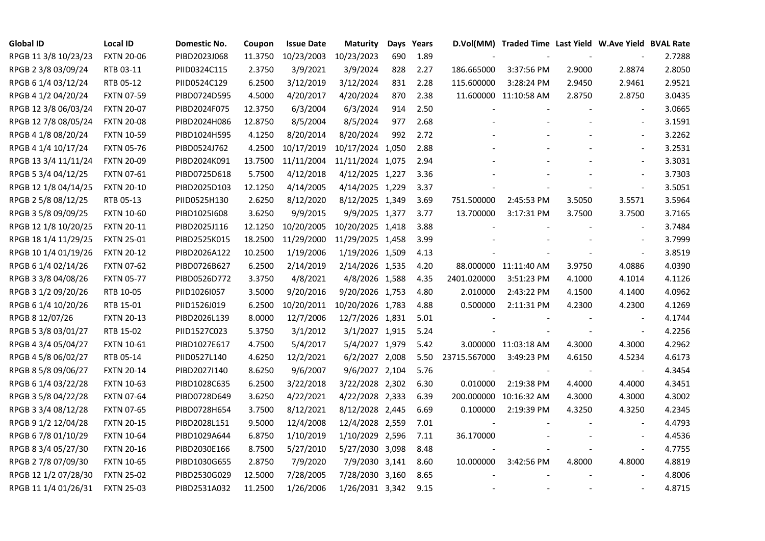| <b>Global ID</b>     | <b>Local ID</b>   | Domestic No. | Coupon  | <b>Issue Date</b> | <b>Maturity</b>  |     | Days Years |              | D.Vol(MM) Traded Time Last Yield W.Ave Yield BVAL Rate |        |                          |        |
|----------------------|-------------------|--------------|---------|-------------------|------------------|-----|------------|--------------|--------------------------------------------------------|--------|--------------------------|--------|
| RPGB 11 3/8 10/23/23 | <b>FXTN 20-06</b> | PIBD2023J068 | 11.3750 | 10/23/2003        | 10/23/2023       | 690 | 1.89       |              |                                                        |        |                          | 2.7288 |
| RPGB 2 3/8 03/09/24  | RTB 03-11         | PIID0324C115 | 2.3750  | 3/9/2021          | 3/9/2024         | 828 | 2.27       | 186.665000   | 3:37:56 PM                                             | 2.9000 | 2.8874                   | 2.8050 |
| RPGB 6 1/4 03/12/24  | RTB 05-12         | PIID0524C129 | 6.2500  | 3/12/2019         | 3/12/2024        | 831 | 2.28       | 115.600000   | 3:28:24 PM                                             | 2.9450 | 2.9461                   | 2.9521 |
| RPGB 4 1/2 04/20/24  | <b>FXTN 07-59</b> | PIBD0724D595 | 4.5000  | 4/20/2017         | 4/20/2024        | 870 | 2.38       |              | 11.600000 11:10:58 AM                                  | 2.8750 | 2.8750                   | 3.0435 |
| RPGB 12 3/8 06/03/24 | <b>FXTN 20-07</b> | PIBD2024F075 | 12.3750 | 6/3/2004          | 6/3/2024         | 914 | 2.50       |              |                                                        |        | $\overline{\phantom{a}}$ | 3.0665 |
| RPGB 12 7/8 08/05/24 | <b>FXTN 20-08</b> | PIBD2024H086 | 12.8750 | 8/5/2004          | 8/5/2024         | 977 | 2.68       |              |                                                        |        | $\blacksquare$           | 3.1591 |
| RPGB 4 1/8 08/20/24  | <b>FXTN 10-59</b> | PIBD1024H595 | 4.1250  | 8/20/2014         | 8/20/2024        | 992 | 2.72       |              |                                                        |        |                          | 3.2262 |
| RPGB 4 1/4 10/17/24  | <b>FXTN 05-76</b> | PIBD0524J762 | 4.2500  | 10/17/2019        | 10/17/2024 1,050 |     | 2.88       |              |                                                        |        |                          | 3.2531 |
| RPGB 13 3/4 11/11/24 | <b>FXTN 20-09</b> | PIBD2024K091 | 13.7500 | 11/11/2004        | 11/11/2024 1,075 |     | 2.94       |              |                                                        |        |                          | 3.3031 |
| RPGB 5 3/4 04/12/25  | <b>FXTN 07-61</b> | PIBD0725D618 | 5.7500  | 4/12/2018         | 4/12/2025 1,227  |     | 3.36       |              |                                                        |        | $\blacksquare$           | 3.7303 |
| RPGB 12 1/8 04/14/25 | <b>FXTN 20-10</b> | PIBD2025D103 | 12.1250 | 4/14/2005         | 4/14/2025 1,229  |     | 3.37       |              |                                                        |        | $\overline{\phantom{a}}$ | 3.5051 |
| RPGB 2 5/8 08/12/25  | RTB 05-13         | PIID0525H130 | 2.6250  | 8/12/2020         | 8/12/2025 1,349  |     | 3.69       | 751.500000   | 2:45:53 PM                                             | 3.5050 | 3.5571                   | 3.5964 |
| RPGB 3 5/8 09/09/25  | <b>FXTN 10-60</b> | PIBD10251608 | 3.6250  | 9/9/2015          | 9/9/2025 1,377   |     | 3.77       | 13.700000    | 3:17:31 PM                                             | 3.7500 | 3.7500                   | 3.7165 |
| RPGB 12 1/8 10/20/25 | <b>FXTN 20-11</b> | PIBD2025J116 | 12.1250 | 10/20/2005        | 10/20/2025 1,418 |     | 3.88       |              |                                                        |        |                          | 3.7484 |
| RPGB 18 1/4 11/29/25 | <b>FXTN 25-01</b> | PIBD2525K015 | 18.2500 | 11/29/2000        | 11/29/2025 1,458 |     | 3.99       |              |                                                        |        |                          | 3.7999 |
| RPGB 10 1/4 01/19/26 | <b>FXTN 20-12</b> | PIBD2026A122 | 10.2500 | 1/19/2006         | 1/19/2026 1,509  |     | 4.13       |              |                                                        |        | $\overline{\phantom{a}}$ | 3.8519 |
| RPGB 6 1/4 02/14/26  | <b>FXTN 07-62</b> | PIBD0726B627 | 6.2500  | 2/14/2019         | 2/14/2026 1,535  |     | 4.20       |              | 88.000000 11:11:40 AM                                  | 3.9750 | 4.0886                   | 4.0390 |
| RPGB 3 3/8 04/08/26  | <b>FXTN 05-77</b> | PIBD0526D772 | 3.3750  | 4/8/2021          | 4/8/2026 1,588   |     | 4.35       | 2401.020000  | 3:51:23 PM                                             | 4.1000 | 4.1014                   | 4.1126 |
| RPGB 3 1/2 09/20/26  | RTB 10-05         | PIID1026I057 | 3.5000  | 9/20/2016         | 9/20/2026 1,753  |     | 4.80       | 2.010000     | 2:43:22 PM                                             | 4.1500 | 4.1400                   | 4.0962 |
| RPGB 6 1/4 10/20/26  | RTB 15-01         | PIID1526J019 | 6.2500  | 10/20/2011        | 10/20/2026 1,783 |     | 4.88       | 0.500000     | 2:11:31 PM                                             | 4.2300 | 4.2300                   | 4.1269 |
| RPGB 8 12/07/26      | <b>FXTN 20-13</b> | PIBD2026L139 | 8.0000  | 12/7/2006         | 12/7/2026 1,831  |     | 5.01       |              |                                                        |        |                          | 4.1744 |
| RPGB 5 3/8 03/01/27  | RTB 15-02         | PIID1527C023 | 5.3750  | 3/1/2012          | 3/1/2027 1,915   |     | 5.24       |              |                                                        |        |                          | 4.2256 |
| RPGB 4 3/4 05/04/27  | <b>FXTN 10-61</b> | PIBD1027E617 | 4.7500  | 5/4/2017          | 5/4/2027 1,979   |     | 5.42       |              | 3.000000 11:03:18 AM                                   | 4.3000 | 4.3000                   | 4.2962 |
| RPGB 4 5/8 06/02/27  | RTB 05-14         | PIID0527L140 | 4.6250  | 12/2/2021         | 6/2/2027 2,008   |     | 5.50       | 23715.567000 | 3:49:23 PM                                             | 4.6150 | 4.5234                   | 4.6173 |
| RPGB 8 5/8 09/06/27  | <b>FXTN 20-14</b> | PIBD2027I140 | 8.6250  | 9/6/2007          | 9/6/2027 2,104   |     | 5.76       |              |                                                        |        | $\overline{\phantom{a}}$ | 4.3454 |
| RPGB 6 1/4 03/22/28  | <b>FXTN 10-63</b> | PIBD1028C635 | 6.2500  | 3/22/2018         | 3/22/2028 2,302  |     | 6.30       | 0.010000     | 2:19:38 PM                                             | 4.4000 | 4.4000                   | 4.3451 |
| RPGB 3 5/8 04/22/28  | <b>FXTN 07-64</b> | PIBD0728D649 | 3.6250  | 4/22/2021         | 4/22/2028 2,333  |     | 6.39       |              | 200.000000 10:16:32 AM                                 | 4.3000 | 4.3000                   | 4.3002 |
| RPGB 3 3/4 08/12/28  | <b>FXTN 07-65</b> | PIBD0728H654 | 3.7500  | 8/12/2021         | 8/12/2028 2,445  |     | 6.69       | 0.100000     | 2:19:39 PM                                             | 4.3250 | 4.3250                   | 4.2345 |
| RPGB 9 1/2 12/04/28  | <b>FXTN 20-15</b> | PIBD2028L151 | 9.5000  | 12/4/2008         | 12/4/2028 2,559  |     | 7.01       |              |                                                        |        |                          | 4.4793 |
| RPGB 6 7/8 01/10/29  | <b>FXTN 10-64</b> | PIBD1029A644 | 6.8750  | 1/10/2019         | 1/10/2029 2,596  |     | 7.11       | 36.170000    |                                                        |        |                          | 4.4536 |
| RPGB 8 3/4 05/27/30  | <b>FXTN 20-16</b> | PIBD2030E166 | 8.7500  | 5/27/2010         | 5/27/2030 3,098  |     | 8.48       |              |                                                        |        | $\overline{\phantom{a}}$ | 4.7755 |
| RPGB 2 7/8 07/09/30  | <b>FXTN 10-65</b> | PIBD1030G655 | 2.8750  | 7/9/2020          | 7/9/2030 3,141   |     | 8.60       | 10.000000    | 3:42:56 PM                                             | 4.8000 | 4.8000                   | 4.8819 |
| RPGB 12 1/2 07/28/30 | <b>FXTN 25-02</b> | PIBD2530G029 | 12.5000 | 7/28/2005         | 7/28/2030 3,160  |     | 8.65       |              |                                                        |        |                          | 4.8006 |
| RPGB 11 1/4 01/26/31 | <b>FXTN 25-03</b> | PIBD2531A032 | 11.2500 | 1/26/2006         | 1/26/2031 3,342  |     | 9.15       |              |                                                        |        |                          | 4.8715 |